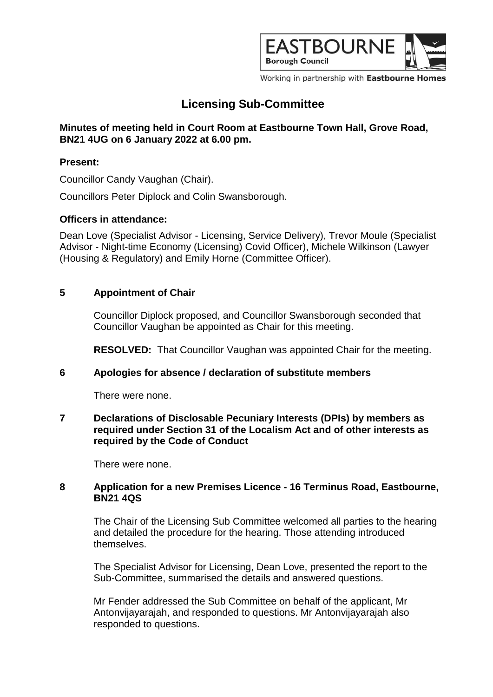

Working in partnership with Eastbourne Homes

# **Licensing Sub-Committee**

# **Minutes of meeting held in Court Room at Eastbourne Town Hall, Grove Road, BN21 4UG on 6 January 2022 at 6.00 pm.**

### **Present:**

Councillor Candy Vaughan (Chair).

Councillors Peter Diplock and Colin Swansborough.

# **Officers in attendance:**

Dean Love (Specialist Advisor - Licensing, Service Delivery), Trevor Moule (Specialist Advisor - Night-time Economy (Licensing) Covid Officer), Michele Wilkinson (Lawyer (Housing & Regulatory) and Emily Horne (Committee Officer).

# **5 Appointment of Chair**

Councillor Diplock proposed, and Councillor Swansborough seconded that Councillor Vaughan be appointed as Chair for this meeting.

**RESOLVED:** That Councillor Vaughan was appointed Chair for the meeting.

#### **6 Apologies for absence / declaration of substitute members**

There were none.

#### **7 Declarations of Disclosable Pecuniary Interests (DPIs) by members as required under Section 31 of the Localism Act and of other interests as required by the Code of Conduct**

There were none.

#### **8 Application for a new Premises Licence - 16 Terminus Road, Eastbourne, BN21 4QS**

The Chair of the Licensing Sub Committee welcomed all parties to the hearing and detailed the procedure for the hearing. Those attending introduced themselves.

The Specialist Advisor for Licensing, Dean Love, presented the report to the Sub-Committee, summarised the details and answered questions.

Mr Fender addressed the Sub Committee on behalf of the applicant, Mr Antonvijayarajah, and responded to questions. Mr Antonvijayarajah also responded to questions.